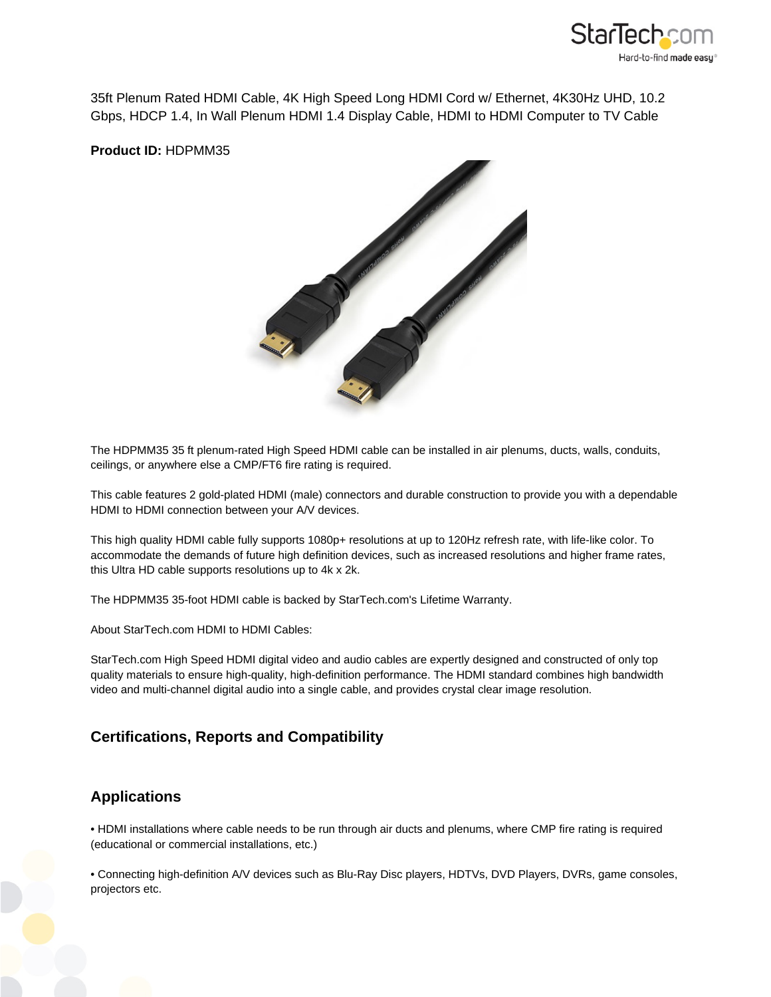

35ft Plenum Rated HDMI Cable, 4K High Speed Long HDMI Cord w/ Ethernet, 4K30Hz UHD, 10.2 Gbps, HDCP 1.4, In Wall Plenum HDMI 1.4 Display Cable, HDMI to HDMI Computer to TV Cable

**Product ID:** HDPMM35



The HDPMM35 35 ft plenum-rated High Speed HDMI cable can be installed in air plenums, ducts, walls, conduits, ceilings, or anywhere else a CMP/FT6 fire rating is required.

This cable features 2 gold-plated HDMI (male) connectors and durable construction to provide you with a dependable HDMI to HDMI connection between your A/V devices.

This high quality HDMI cable fully supports 1080p+ resolutions at up to 120Hz refresh rate, with life-like color. To accommodate the demands of future high definition devices, such as increased resolutions and higher frame rates, this Ultra HD cable supports resolutions up to 4k x 2k.

The HDPMM35 35-foot HDMI cable is backed by StarTech.com's Lifetime Warranty.

About StarTech.com HDMI to HDMI Cables:

StarTech.com High Speed HDMI digital video and audio cables are expertly designed and constructed of only top quality materials to ensure high-quality, high-definition performance. The HDMI standard combines high bandwidth video and multi-channel digital audio into a single cable, and provides crystal clear image resolution.

## **Certifications, Reports and Compatibility**

## **Applications**

• HDMI installations where cable needs to be run through air ducts and plenums, where CMP fire rating is required (educational or commercial installations, etc.)

• Connecting high-definition A/V devices such as Blu-Ray Disc players, HDTVs, DVD Players, DVRs, game consoles, projectors etc.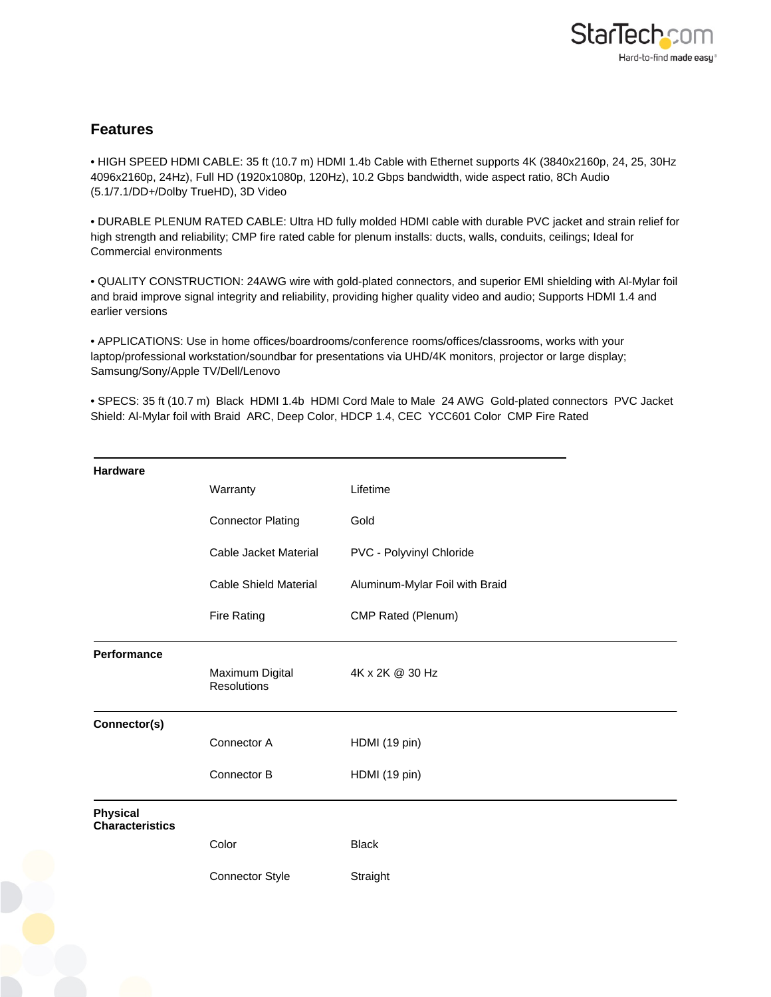## **Features**

• HIGH SPEED HDMI CABLE: 35 ft (10.7 m) HDMI 1.4b Cable with Ethernet supports 4K (3840x2160p, 24, 25, 30Hz 4096x2160p, 24Hz), Full HD (1920x1080p, 120Hz), 10.2 Gbps bandwidth, wide aspect ratio, 8Ch Audio (5.1/7.1/DD+/Dolby TrueHD), 3D Video

• DURABLE PLENUM RATED CABLE: Ultra HD fully molded HDMI cable with durable PVC jacket and strain relief for high strength and reliability; CMP fire rated cable for plenum installs: ducts, walls, conduits, ceilings; Ideal for Commercial environments

• QUALITY CONSTRUCTION: 24AWG wire with gold-plated connectors, and superior EMI shielding with Al-Mylar foil and braid improve signal integrity and reliability, providing higher quality video and audio; Supports HDMI 1.4 and earlier versions

• APPLICATIONS: Use in home offices/boardrooms/conference rooms/offices/classrooms, works with your laptop/professional workstation/soundbar for presentations via UHD/4K monitors, projector or large display; Samsung/Sony/Apple TV/Dell/Lenovo

• SPECS: 35 ft (10.7 m) Black HDMI 1.4b HDMI Cord Male to Male 24 AWG Gold-plated connectors PVC Jacket Shield: Al-Mylar foil with Braid ARC, Deep Color, HDCP 1.4, CEC YCC601 Color CMP Fire Rated

| Warranty<br>Lifetime<br><b>Connector Plating</b><br>Gold<br>Cable Jacket Material<br>PVC - Polyvinyl Chloride<br><b>Cable Shield Material</b><br>Aluminum-Mylar Foil with Braid<br>CMP Rated (Plenum)<br><b>Fire Rating</b><br>Maximum Digital<br>4K x 2K @ 30 Hz<br>Resolutions<br>Connector A<br>HDMI (19 pin)<br>Connector B<br>HDMI (19 pin)<br><b>Black</b><br>Color |                                           |                 |          |
|---------------------------------------------------------------------------------------------------------------------------------------------------------------------------------------------------------------------------------------------------------------------------------------------------------------------------------------------------------------------------|-------------------------------------------|-----------------|----------|
|                                                                                                                                                                                                                                                                                                                                                                           | <b>Hardware</b>                           |                 |          |
|                                                                                                                                                                                                                                                                                                                                                                           |                                           |                 |          |
|                                                                                                                                                                                                                                                                                                                                                                           |                                           |                 |          |
|                                                                                                                                                                                                                                                                                                                                                                           |                                           |                 |          |
|                                                                                                                                                                                                                                                                                                                                                                           |                                           |                 |          |
|                                                                                                                                                                                                                                                                                                                                                                           |                                           |                 |          |
|                                                                                                                                                                                                                                                                                                                                                                           | <b>Performance</b>                        |                 |          |
|                                                                                                                                                                                                                                                                                                                                                                           |                                           |                 |          |
|                                                                                                                                                                                                                                                                                                                                                                           | Connector(s)                              |                 |          |
|                                                                                                                                                                                                                                                                                                                                                                           |                                           |                 |          |
|                                                                                                                                                                                                                                                                                                                                                                           |                                           |                 |          |
|                                                                                                                                                                                                                                                                                                                                                                           | <b>Physical</b><br><b>Characteristics</b> |                 |          |
|                                                                                                                                                                                                                                                                                                                                                                           |                                           |                 |          |
|                                                                                                                                                                                                                                                                                                                                                                           |                                           | Connector Style | Straight |